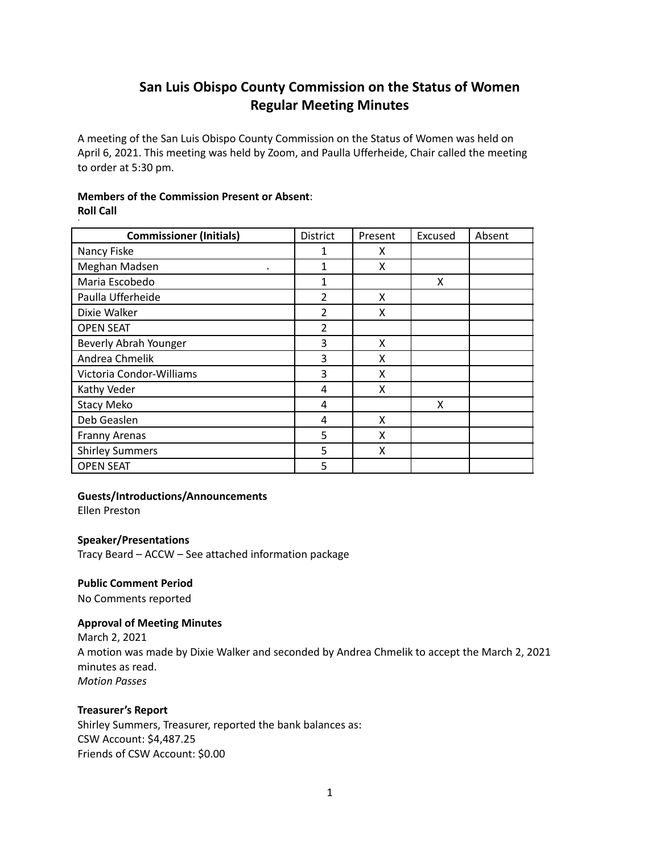# **San Luis Obispo County Commission on the Status of Women Regular Meeting Minutes**

A meeting of the San Luis Obispo County Commission on the Status of Women was held on April 6, 2021. This meeting was held by Zoom, and Paulla Ufferheide, Chair called the meeting to order at 5:30 pm.

# **Members of the Commission Present or Absent**: **Roll Call**

| <b>Commissioner (Initials)</b> | District       | Present | Excused | Absent |
|--------------------------------|----------------|---------|---------|--------|
| Nancy Fiske                    | 1              | x       |         |        |
| Meghan Madsen                  | 1              | X       |         |        |
| Maria Escobedo                 | 1              |         | x       |        |
| Paulla Ufferheide              | $\overline{2}$ | X       |         |        |
| Dixie Walker                   | $\overline{2}$ | x       |         |        |
| <b>OPEN SEAT</b>               | 2              |         |         |        |
| Beverly Abrah Younger          | 3              | X       |         |        |
| Andrea Chmelik                 | 3              | x       |         |        |
| Victoria Condor-Williams       | 3              | X       |         |        |
| Kathy Veder                    | 4              | X       |         |        |
| <b>Stacy Meko</b>              | 4              |         | x       |        |
| Deb Geaslen                    | 4              | X       |         |        |
| <b>Franny Arenas</b>           | 5              | x       |         |        |
| <b>Shirley Summers</b>         | 5              | x       |         |        |
| <b>OPEN SEAT</b>               | 5              |         |         |        |

# **Guests/Introductions/Announcements**

Ellen Preston

# **Speaker/Presentations**

Tracy Beard – ACCW – See attached information package

# **Public Comment Period**

No Comments reported

# **Approval of Meeting Minutes**

March 2, 2021 A motion was made by Dixie Walker and seconded by Andrea Chmelik to accept the March 2, 2021 minutes as read. *Motion Passes*

# **Treasurer's Report**

Shirley Summers, Treasurer, reported the bank balances as: CSW Account: \$4,487.25 Friends of CSW Account: \$0.00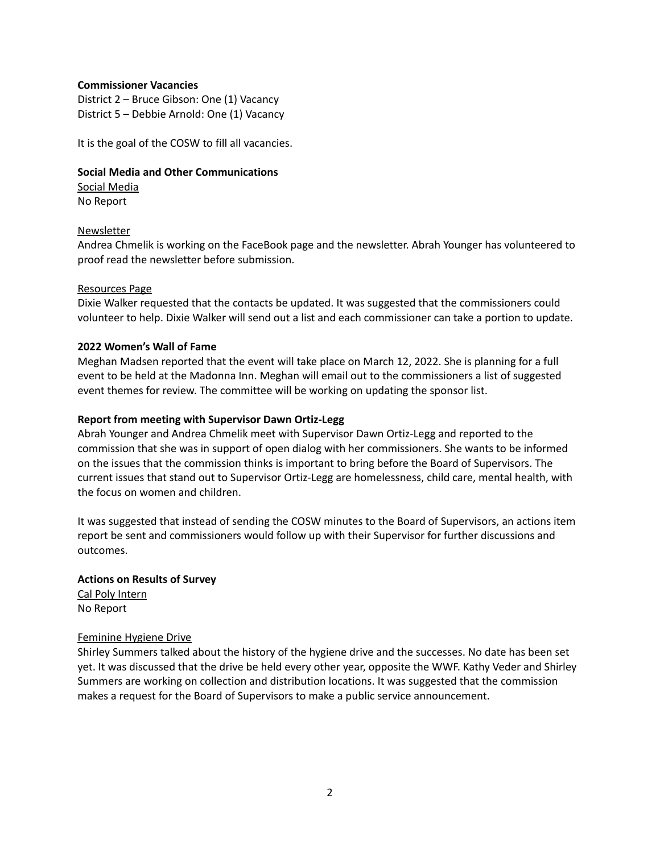#### **Commissioner Vacancies**

District 2 – Bruce Gibson: One (1) Vacancy District 5 – Debbie Arnold: One (1) Vacancy

It is the goal of the COSW to fill all vacancies.

# **Social Media and Other Communications**

Social Media No Report

## Newsletter

Andrea Chmelik is working on the FaceBook page and the newsletter. Abrah Younger has volunteered to proof read the newsletter before submission.

#### Resources Page

Dixie Walker requested that the contacts be updated. It was suggested that the commissioners could volunteer to help. Dixie Walker will send out a list and each commissioner can take a portion to update.

## **2022 Women's Wall of Fame**

Meghan Madsen reported that the event will take place on March 12, 2022. She is planning for a full event to be held at the Madonna Inn. Meghan will email out to the commissioners a list of suggested event themes for review. The committee will be working on updating the sponsor list.

## **Report from meeting with Supervisor Dawn Ortiz-Legg**

Abrah Younger and Andrea Chmelik meet with Supervisor Dawn Ortiz-Legg and reported to the commission that she was in support of open dialog with her commissioners. She wants to be informed on the issues that the commission thinks is important to bring before the Board of Supervisors. The current issues that stand out to Supervisor Ortiz-Legg are homelessness, child care, mental health, with the focus on women and children.

It was suggested that instead of sending the COSW minutes to the Board of Supervisors, an actions item report be sent and commissioners would follow up with their Supervisor for further discussions and outcomes.

## **Actions on Results of Survey** Cal Poly Intern

No Report

#### Feminine Hygiene Drive

Shirley Summers talked about the history of the hygiene drive and the successes. No date has been set yet. It was discussed that the drive be held every other year, opposite the WWF. Kathy Veder and Shirley Summers are working on collection and distribution locations. It was suggested that the commission makes a request for the Board of Supervisors to make a public service announcement.